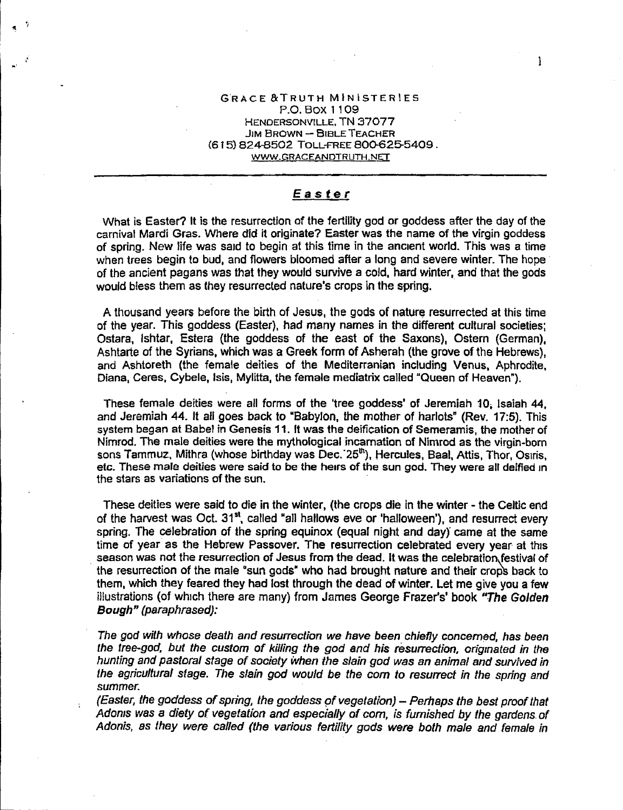## G'RACE&TRUTH MINISTERIES P.O. BOX 1109 HENDERSONVILLE. TN 37077  $JIM$  BROWN  $-$  BIBLE TEACHER (615) 824-8502 TOLL-FREE 800-625-5409. WWW.GRACEANDTRUTH.NET

 $\mathbf{I}$ 

## *Easter*

What is Easter? It is the resurrection af the fertility god or goddess after the day of the carnival Mardi Gras. Where did it originate? Easter was the name of the virgin goddess of spring. New life was saId to begin at this time in the anCient world. This was a time when trees begin to bud, and flowers bloomed after a long and severe winter. The hope of the ancient pagans was that they would survive a cold, hard winter, and that the gods would bless them as they resurrected nature's crops in the spring.

A thousand years before the birth of Jesus, the gods of nature resurrected at this time of the year. This goddess (Easter), had many names in the different cultural societies; Ostara, Ishtar, Estera (the goddess of the east of the Saxons). Ostern (German), Ashtarte of the Syrians, which was a Greek form of Asherah (the grove of the Hebrews), and Ashtoreth (the female deities of the Mediterranian including Venus, Aphrodite, Diana, Ceres, Cybele, Isis, Mylitta, the female mediatrix called "Queen of Heaven").

These female deities were all forms of the 'tree goddess' of Jeremiah 10. Isaiah 44, and Jeremiah 44. It all goes back to "Babylon, the mother of harlots" (Rev. 17:5). This system began at Babel in Genesis 11. It was the deification of Semeramis, the mother of Nimrod. The male deities were the mythological incarnation of Nimrod as the virgin-born sons Tammuz, Mithra (whose birthday was Dec. 25<sup>th</sup>), Hercules, Baal, Attis, Thor, Osiris, etc. These male deities were said to be the heirs of the sun god. They were all deified In the stars as variations of the sun.

These deities were said to die in the winter, (the crops die in the winter - the Celtic end of the harvest was Oct. 31<sup>st</sup>, called "all hallows eve or 'halloween'), and resurrect every spring. The celebration of the spring equinox (equal night and day) came at the same time of year as the Hebrew Passover. The resurrection celebrated every year at this season was not the resurrection of Jesus from the dead. It was the celebration festival of the resurrection of the male "sun gods" who had brought nature and their crops back to them, which they feared they had lost through the dead of winter. Let me give you a few illustrations (of which there are many) from James George Frazer's' book "The Golden" *Bough" (paraphrased):*

*The god with whose death and resurrection we have been chieny* concerned, has *been the tree-god. but the custom of killing the god and his resurrection, origmated in the hunting and pastDral* stage *of society when the slain god was an animal and sUNived in the agricultural siage. The slain god would be the com to resurrect in the spring and summer.*

*(Easter, the goddess of spring, the goddess* 9' *vegetation) - Perhaps the best proof that Adoms was* a *diety of vegetation and especially* of com, *is furnished by the gardens. of Adonis, as they were called (the various fertility gods were both male and female in*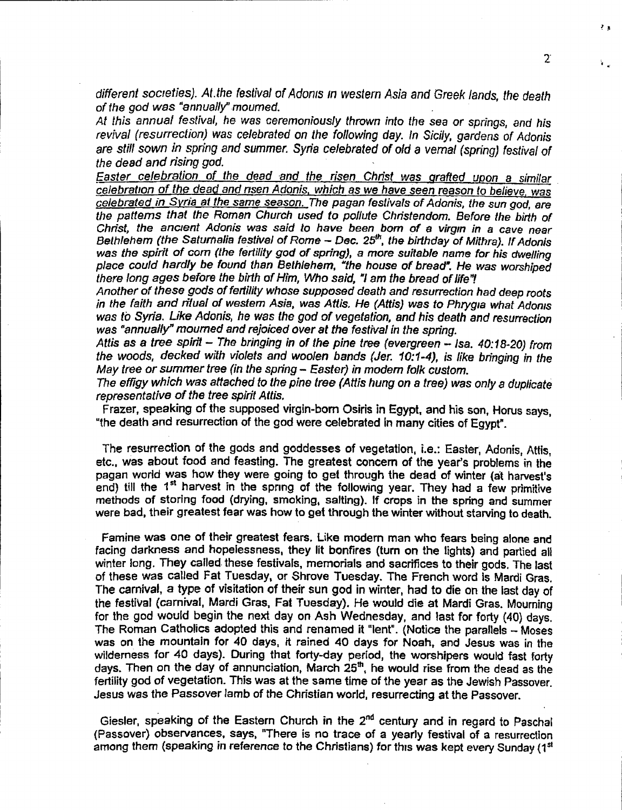*different socIeties). At.the festival of Adoms In western Asia and Greek lands, the death of the god was "annually"moumed.*

*At this annual festival, he* was *ceremoniously thrown into the sea* or *springs, and his revival (resurrection) was celebrated on the following day. In Sicily, gardens of Adonis are still sown in spring and summer. Syria celebrated of old* a *vernal (spring) festival of the dead and rising god.*

*Easter celebration of the dead -and the risen Christ* was *grafted upon* a *similar celebratIOn of the dead and nsen Adonis, which* as *we have seen reason* to *believe.* was *celebrated in Syria at the same season. The pagan festivals* of *Adonis, the sun god, are the patterns that the Roman Church used to pollute Christendom. Before the birth of Christ, the ancIent Adonis* was *said to have been born of* a *virgm in* a *cave near Bethlehem (the Saturnalia festival of Rome - Dec. 25<sup>th</sup>, the birthday of Mithra). If Adonis was the spirit of com (the fertility god of spring),* a *more suitable name for his dwelling place could hardly be found than Bethlehem, "the house of bread". He was worshiped there fong ages before the birth of Him, Who said, "/ am the bread* of *life"!*

*Another of these gods* of *fertility whose supposed death and resurrection had deep* roots *in* the faith and ritual of western Asia, was Attis. He (Attis) was to Phrygla what Adonis *was to Syria. Like Adonis, he was the god of vegetation, and his death and resurrection* was *"annually" mourned and rejoiced over at the festival in the spring.*

*Attis* as a *tree spirit - The bringing in of the pine tree (evergreen - lsa. 40:18.20) from the woods, decked with violets and woolen bands (Jer. 10:1-4),* ;s *like bringing in the May tree* or *summer tree (in the spring - Easter) in modem folk custom.*

*The effigy which was attached to the pine tree (Attis hung on* a *tree) was only a duplicate representative of the tree spirit Attis.*

Frazer, speaking of the supposed virgin-born Osiris in Egypt, and his son, Horus says, "the death and resurrection of the god were celebrated in many cities of Egypt".

The resurrection of the gods and goddesses of vegetation, i.e.: Easter, Adonis, Attis, etc., was about food and feasting. The greatest concern of the year's problems in the pagan world was how they were going to get through the dead of winter (al harvest's end) till the 1<sup>st</sup> harvest in the spring of the following year. They had a few primitive methods of storing food (drying, smoking. salting). If crops in the spring and summer were bad, their greatest fear was how to get through the winter without starving to death.

Famine was one of their greatest fears. Like modern man who fears being alone and facing darkness and hopelessness. they lit bonfires (turn on the lights) and partied all winter long. They called. these festivals, memorials and sacrifices to their gods. The last of these was called Fat Tuesday. or Shrove Tuesday. The French word Is Marcli Gras. The *carnival,* a type of visitation of *their* sun god in winter, had to die on the last day of the festival (carnival, Mardi Gras, Fat Tuesday). He would die at Mardi Gras. Mourning for the god would begin the next day on Ash Wednesday, and last for forty (40) days. The Roman Catholics adopted this and renamed it "lent". (Notice the parallels - Moses was on the mountain for 40 days, *it* rained 40 days for Noah, and Jesus was in the wilderness for 40 days). During that forty-day period, the worshipers would fast forty days. Then on the day of annunciation, March 25<sup>th</sup>, he would rise from the dead as the fertility god of vegetation. This was at the same time of the year as the Jewish Passover. Jesus was the Passover lamb of the Christian world, resurrecting at the Passover.

Giesler, speaking of the Eastern Church in the  $2^{\mathsf{nd}}$  century and in regard to Pascha (Passover) observances, says, "There is no trace of a yearly festival of a resurrection among them (speaking in reference to the Christians) for this was kept every Sunday (1<sup>st</sup>)

 $\overline{2}$ 

 $\blacksquare$ 

 $\mathbf{r}$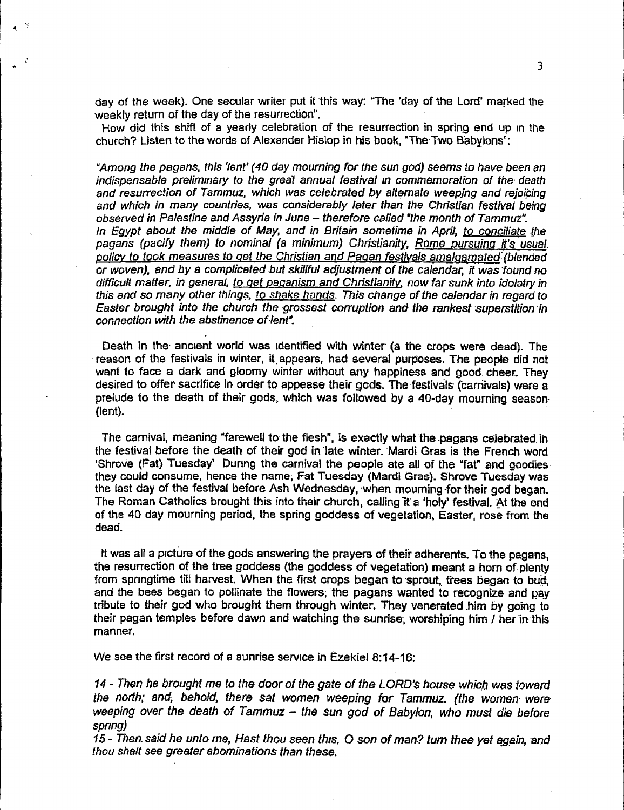day of the week}. One secular writer put it 'this way: "The 'day of the Lord' marked the weekly return of the day of the resurrection".

 $\cdot$ 

How did this shift of a yearly celebration of the resurrection in spring end up In the church? Listen to the words of Alexander Hislop in his book. "The Two Babylons":

*"Among the pagans, this 'lent' (40 day mourning for the sun god) seems* to *have been an indispensable prelimmary to the grea"t annual festival In commemoration of the. death and resurrection of Tammuz, which was celebrated by a/temate weepjng and rejo(bing and which in many countries, was considerably later than the Christian festival being\_ obsetved in Palestine and* Assyria *in June - therefore called .the month of Tammut". In Egypt about the middle of May, and in Britain sometime in April, to conciliate -the pagans (pacify them) to nominal* (a *minimum) Christianity, Rome pursuing it's usual. policy to took measures to get the Christian and Pagan festivals amalgamated: (blended*  $\overline{a}$  *or* woven), and by a complicated but skillful adjustment of the calendar, it was found no *difficult matter, in general, to get paganism and Christianity. now far sunk into idolatry in this and* so *many other things, to shake hands. This change* of *the calendar in regard* to *Easter brought* into the *church* the grossest corruption and the rankest superstition in *connection with the abstinence anent".*

Death in the ancient world was identified with winter (a the crops were dead). The reason of the festivals in winter, it appears, had several purposes. The people did not want to face a dark and gloomy winter without any happiness and good, cheer. They desired to offer sacrifice in order to appease their gods. The-festivals (carnivals) were a prelude to the death of their gods, which was followed by a 40-day mourning season. (lent). '

The carnival, meaning "farewell to the flesh", is exactly what the pagans celebrated in the festival before the death of their god in late winter. Mardi Gras is the French word 'Shrove (Fat) Tuesday' Dunng the carnival the people ate all of the "fat" and goodies, they could consume, hence the name; Fat Tuesday (Mardi Gras). Shrove Tuesday was the last day of the festival before Ash Wednesday, "when mouming.fortheir god began. The Roman Catholics brought this into their church, calling it a 'holy' festival. At the end of the 40 day mourning period, the spring goddess of vegetation. Easter, rose from the dead.

It was all a picture of the gods answering the prayers of their adherents. To the pagans, the resurrection of the tree goddess (the goddess of vegetation) meant' a horn of-plenty from springtime till harvest. When the first crops began to sprout, trees began to bud, and the bees began to pollinate the flowers; the pagans wanted to recognize and pay tribute to their god who brought them through winter. They venerated him by going to their pagan temples before dawn and watching the sunrise, worshiping him / her in this manner.

We see the first record of a sunrise service in Ezekiel 8:14-16:

14 - *Then he brought me to the door of the gate* of *the LORD's house whic.hwas toward the north; and; beholcl, there sat women weeping for Tammuz. (the women- wereweeping over the death* of *Tammuz - the sun god of Babylon, who must die before spong)*

15 - Then said he unto me, Hast thou seen this, O son of man? turn thee yet again, and *thou shalf see greater abominations than these.*

3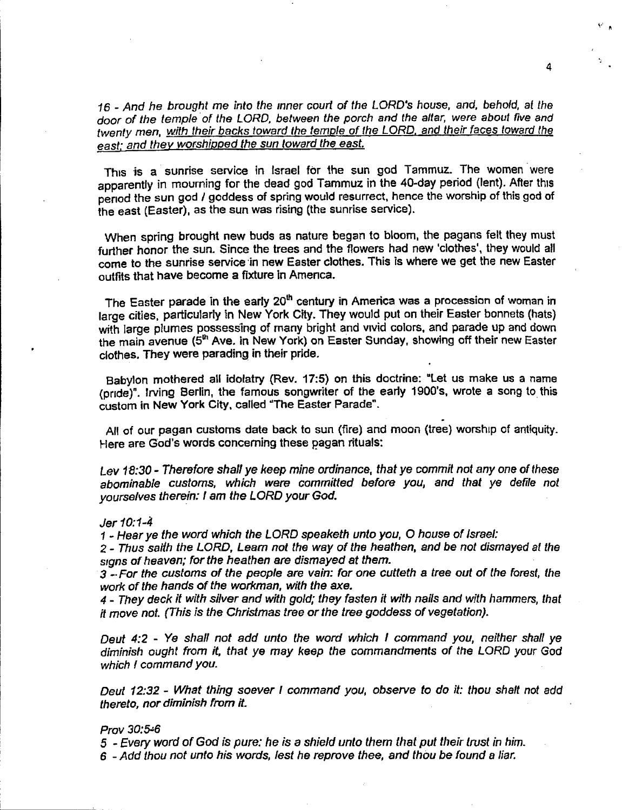16 - *And he brought* me *into the mner court* of *the LORD's* house, *and, behold, at the door of the temple. of the LORD, between the porch and the altar, were about nve and twenty men, with their backs toward the temple of the LORD, and their faces toward (he east; and they worshipped the sun toward the east.*

4

This is a sunrise service in Israel for the sun god Tammuz. The women were apparently in mourning for the dead god Tammuz in the 40-day period (lent). After this penod the sun god *I* goddess of spring would resurrect, hence the worship of this god of the east (Easter), as the sun was rising (the sunrise service).

When spring brought new buds as nature began to bloom, the pagans felt they must further honor the sun. Since the trees and the flowers had new 'clothes', they would all come to the sunrise service'in new Easter clothes. This is where we get the new Easter outfits that have become a fixture in Amenca.

The Easter parade in the early 20<sup>th</sup> century in America was a procession of woman in large cities, particularly in New York City. They would put on their Easter bonnets (hats) with large plumes possessing of many bright and vivid colors, and parade up and down the main avenue (5<sup>th</sup> Ave. in New York) on Easter Sunday, showing off their new Easter clothes. They were parading in their pride.

Babylon mothered all idolatry (Rev. 17:5) on this doctrine: "Let us make us a name (pride)". Irving Berlin, the famous songwriter of the early 1900's, wrote a song to this custom in New York City, called "The Easter Parade". .

All of our pagan customs date back to sun (fire) and moon (tree) worship of antiquity. Here are God's words concerning these pagan rituals:

*Lev 18:30 - Therefore shall ye keep mine ordinance. that* ye *commit not anyone* of *these abominable customs, which were committed before you, and that* ye *defile not yourselves therein: I am the LORD your God.*

*Jer 10:1-4*

1- *Hear* ye *the word which the LORD speaketh unto you.* 0 *house of Israel:*

2 - *Thus salth the LORD, Learn not the way of the heathen. and be not dismayed at the signs* of *heaven; for the heathen are dismayed* at *them.*

3 \_.*For the customs of the people are vain: for one cutteth* a *tree out of the forest, the work of the hands* of *the workman, with the axe.*

4 - *They deck it with silver and with gold; they fasten it with nails and with hammers, that it move not. (This is the Christmas tree* or *the tree goddess of vegetation).*

*Deut* 4:2 - *Ve shall not add unto the word which I command you, neither shall* ye *diminish ought from it, that* ye *may keep the commandments* of *the LORD* your God *which I command you.*

*Deut* 12:32 - *What thing soever I command you, observe to do it: thou shalt not add thereto, nor diminish from it.*

## *PraY 30:5-:6*

5 - *E.very word* of *God is pure: he is* a *shield unto them that put their trust in him.*

6 - *Add thou not unto his words, lest he reprove thee, and thou be found* a *liar.*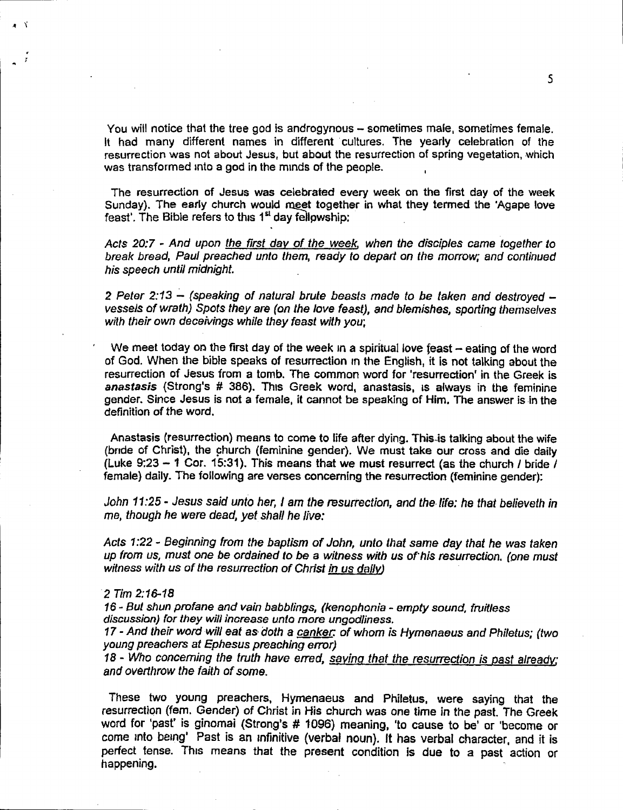You will notice that the tree god is androgynous - sometimes male, sometimes female. It had many different names in different cultures. The yearly celebration of the resurrection was not about Jesus, but about the resurrection of spring vegetation, which was transformed into a god in the minds of the people.

The resurrection of Jesus was celebrated every week on the first day of the week Sunday). The early church would meet together in what they termed the 'Agape love feast'. The Bible refers to this  $1<sup>st</sup>$  day fellowship:

*Acts 20:7 ~ And upon the first day of the week, when the disciples came together to break bread, Paul preached unto them, ready to depart on the morrow; and continued his speech until midnight.*

*2 Peter* 2:13 .:..*(speaking* of *natural brute beasts made to be taken and destroyed vessels of wrath) Spots they are (on the love feast), and blemishes, sporting themselves with their own deceivings while they feast with you;*

We meet today on the first day of the week in a spiritual love feast  $-$  eating of the word of God. When the bible speaks of resurrection In the English, it is not talking about the resurrection of Jesus from a tomb. The common word for 'resurrection' in the Greek is *anastasis* (Strong's # 386). ThiS Greek word, anastasis, IS always in the feminine gender. Since Jesus is not a female, it cannot be speaking of Him. The answer is in the definition of the word.

Anastasis (resurrection) means to come to life after dying. This is talking about the wife (bnde of Christ), the church (feminine gender). We must take our cross and die daily (Luke 9:23 - 1 Cor. 15:31). This means that we must resurrect (as the church *I* bride *I* female) daily. The following are verses concerning the resurrection (feminine gender):

*John* 11:25. *Jesus said unto her, I* am *the resurrection, and the.life: he that believeth in me, though he were dead, yet shall he live:*

*Acts* 1:22 - *Beginning from the baptism of John, unto that same day that he was taken up from us, must one be ordained to be* a *witness with us* of *his resurrection. (one must witness with us of the resurrection* of *Christ in us daily)*

## *2 Tim 2:16-18*

I ••

16 - *But shun profane and vain babblings, (kenophonia - empty sound. fruitless discussion) for they will increase unto more ungodliness.*

17 - *And their word will eat as.doth* a *canker: of whom is Hymenaeus and Philetus; (two young preachers at Ephesus preaching error)*

*1B - Who concerning the truth have en-ed, saying that the resurrection is past already; and overthrow the faith* of *some.*

These two young preachers, Hymenaeus and Philetus, were saying that the resurrection (fern. Gender) of Christ in His church was one time in the past. The Greek word for 'past' is ginomai (Strong's # 1096) meaning, 'to cause to be' or 'become or come mto being' Past is an Infinitive (verbal noun). It has verbal character, and it is perfect tense. This means that the present condition is due to a past action or happening.